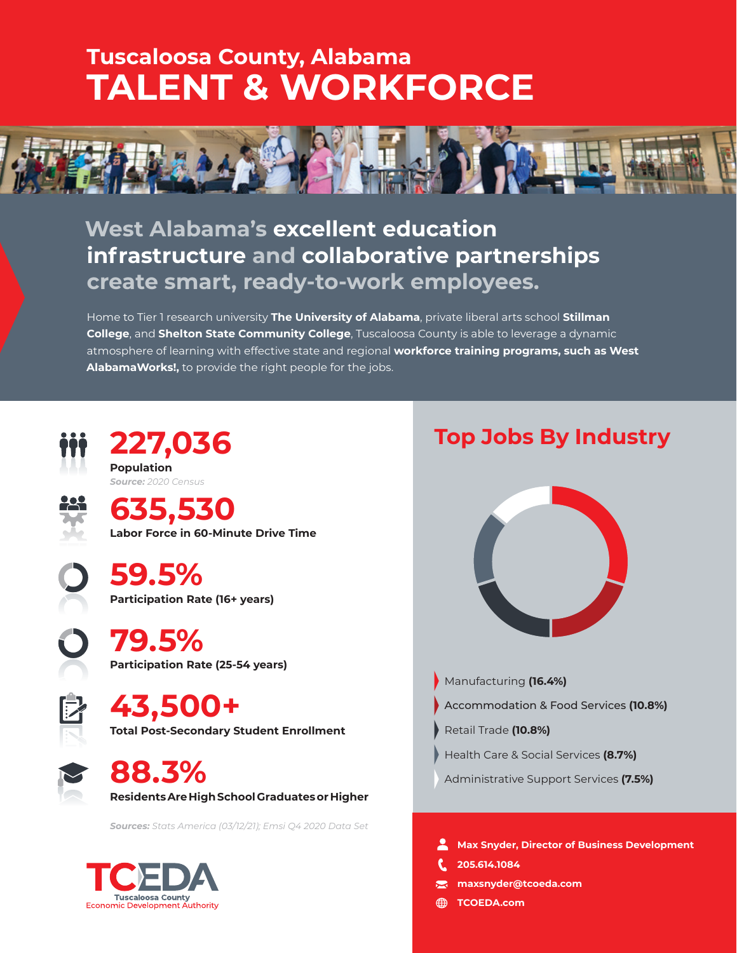# **Tuscaloosa County, Alabama TALENT & WORKFORCE**



# **West Alabama's excellent education infrastructure and collaborative partnerships create smart, ready-to-work employees.**

Home to Tier 1 research university **The University of Alabama**, private liberal arts school **Stillman College**, and **Shelton State Community College**, Tuscaloosa County is able to leverage a dynamic atmosphere of learning with effective state and regional **workforce training programs, such as West AlabamaWorks!,** to provide the right people for the jobs.



**227,036 Population** *Source: 2020 Census*



**635,530 Labor Force in 60-Minute Drive Time**

**59.5% Participation Rate (16+ years)** 

**79.5% Participation Rate (25-54 years)** 

**43,500+ Total Post-Secondary Student Enrollment**

**88.3% Residents Are High School Graduates or Higher**

*Sources: Stats America (03/12/21); Emsi Q4 2020 Data Set*



# **Top Jobs By Industry**



- Manufacturing **(16.4%)**
- Accommodation & Food Services **(10.8%)**
- Retail Trade **(10.8%)**
- Health Care & Social Services **(8.7%)**
- Administrative Support Services **(7.5%)**

**Max Snyder, Director of Business Development** 

- **205.614.1084**
- $\overline{\phantom{0}}$ **maxsnyder@tcoeda.com**
- **TCOEDA.com**